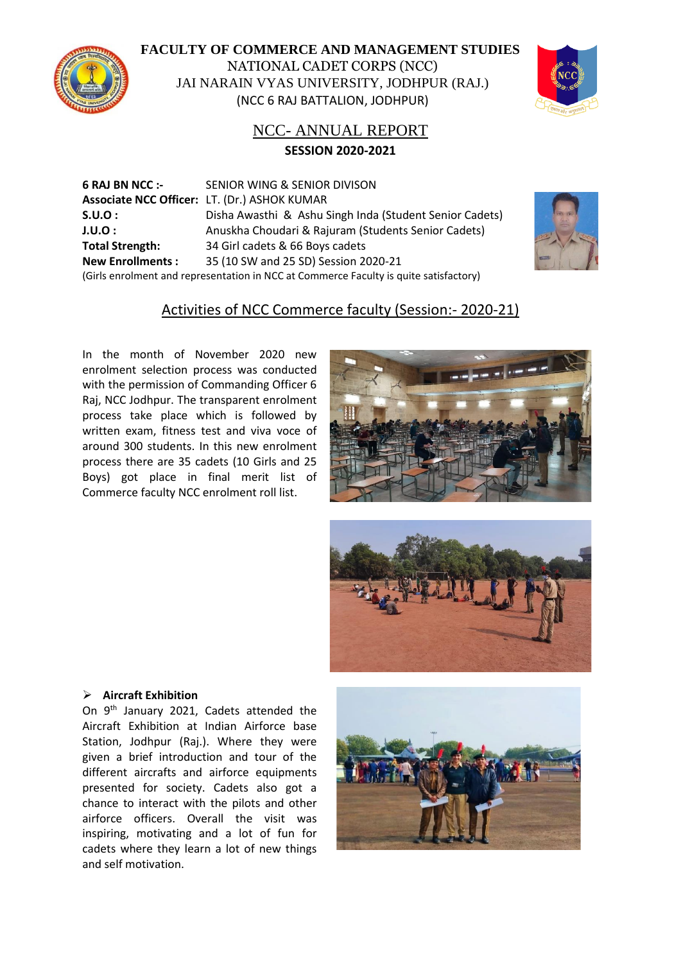

**FACULTY OF COMMERCE AND MANAGEMENT STUDIES** NATIONAL CADET CORPS (NCC)

JAI NARAIN VYAS UNIVERSITY, JODHPUR (RAJ.) (NCC 6 RAJ BATTALION, JODHPUR)



# NCC- ANNUAL REPORT **SESSION 2020-2021**

**6 RAJ BN NCC :-** SENIOR WING & SENIOR DIVISON **Associate NCC Officer:** LT. (Dr.) ASHOK KUMAR **S.U.O :** Disha Awasthi & Ashu Singh Inda (Student Senior Cadets) **J.U.O :** Anuskha Choudari & Rajuram (Students Senior Cadets) **Total Strength:** 34 Girl cadets & 66 Boys cadets **New Enrollments :** 35 (10 SW and 25 SD) Session 2020-21 (Girls enrolment and representation in NCC at Commerce Faculty is quite satisfactory)



# Activities of NCC Commerce faculty (Session:- 2020-21)

In the month of November 2020 new enrolment selection process was conducted with the permission of Commanding Officer 6 Raj, NCC Jodhpur. The transparent enrolment process take place which is followed by written exam, fitness test and viva voce of around 300 students. In this new enrolment process there are 35 cadets (10 Girls and 25 Boys) got place in final merit list of Commerce faculty NCC enrolment roll list.





# ➢ **Aircraft Exhibition**

On 9<sup>th</sup> January 2021, Cadets attended the Aircraft Exhibition at Indian Airforce base Station, Jodhpur (Raj.). Where they were given a brief introduction and tour of the different aircrafts and airforce equipments presented for society. Cadets also got a chance to interact with the pilots and other airforce officers. Overall the visit was inspiring, motivating and a lot of fun for cadets where they learn a lot of new things and self motivation.

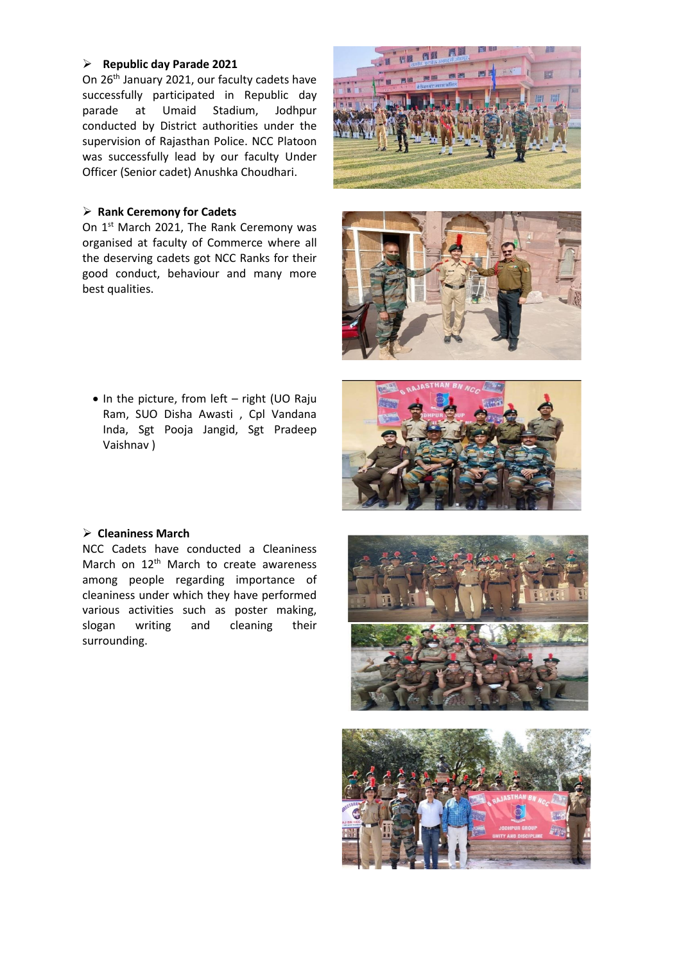## ➢ **Republic day Parade 2021**

On 26<sup>th</sup> January 2021, our faculty cadets have successfully participated in Republic day parade at Umaid Stadium, Jodhpur conducted by District authorities under the supervision of Rajasthan Police. NCC Platoon was successfully lead by our faculty Under Officer (Senior cadet) Anushka Choudhari.

### ➢ **Rank Ceremony for Cadets**

On 1<sup>st</sup> March 2021, The Rank Ceremony was organised at faculty of Commerce where all the deserving cadets got NCC Ranks for their good conduct, behaviour and many more best qualities.





• In the picture, from left – right (UO Raju Ram, SUO Disha Awasti , Cpl Vandana Inda, Sgt Pooja Jangid, Sgt Pradeep Vaishnav )



#### ➢ **Cleaniness March**

NCC Cadets have conducted a Cleaniness March on 12<sup>th</sup> March to create awareness among people regarding importance of cleaniness under which they have performed various activities such as poster making, slogan writing and cleaning their surrounding.



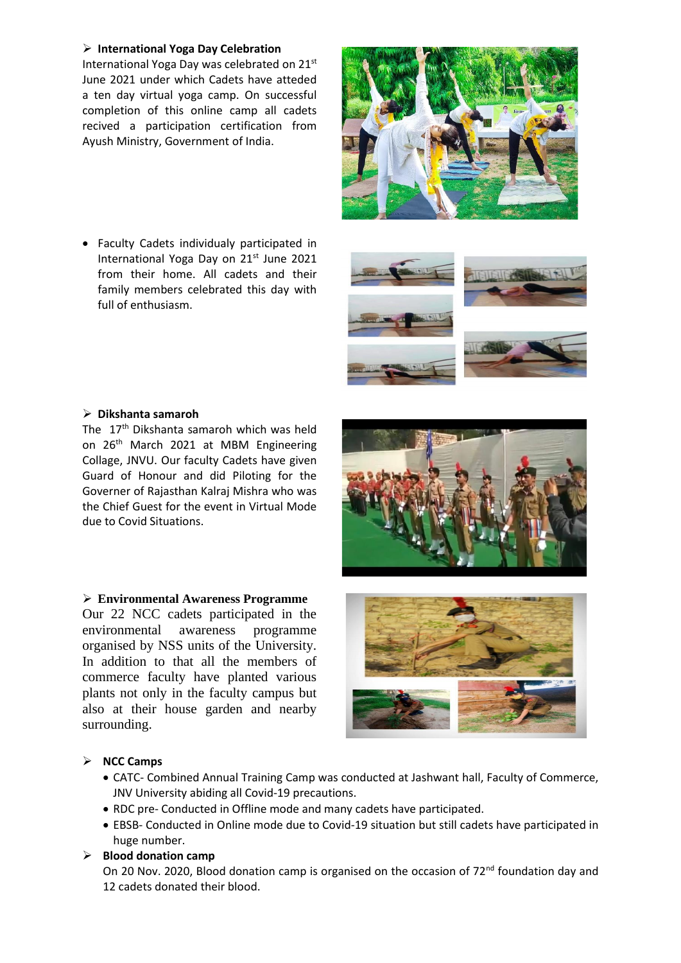## ➢ **International Yoga Day Celebration**

International Yoga Day was celebrated on 21st June 2021 under which Cadets have atteded a ten day virtual yoga camp. On successful completion of this online camp all cadets recived a participation certification from Ayush Ministry, Government of India.

• Faculty Cadets individualy participated in International Yoga Day on 21<sup>st</sup> June 2021 from their home. All cadets and their family members celebrated this day with full of enthusiasm.



The 17th Dikshanta samaroh which was held on 26<sup>th</sup> March 2021 at MBM Engineering Collage, JNVU. Our faculty Cadets have given Guard of Honour and did Piloting for the Governer of Rajasthan Kalraj Mishra who was the Chief Guest for the event in Virtual Mode due to Covid Situations.

## ➢ **Environmental Awareness Programme**

Our 22 NCC cadets participated in the environmental awareness programme organised by NSS units of the University. In addition to that all the members of commerce faculty have planted various plants not only in the faculty campus but also at their house garden and nearby surrounding.









## ➢ **NCC Camps**

- CATC- Combined Annual Training Camp was conducted at Jashwant hall, Faculty of Commerce, JNV University abiding all Covid-19 precautions.
- RDC pre- Conducted in Offline mode and many cadets have participated.
- EBSB- Conducted in Online mode due to Covid-19 situation but still cadets have participated in huge number.

## ➢ **Blood donation camp**

On 20 Nov. 2020, Blood donation camp is organised on the occasion of 72<sup>nd</sup> foundation day and 12 cadets donated their blood.